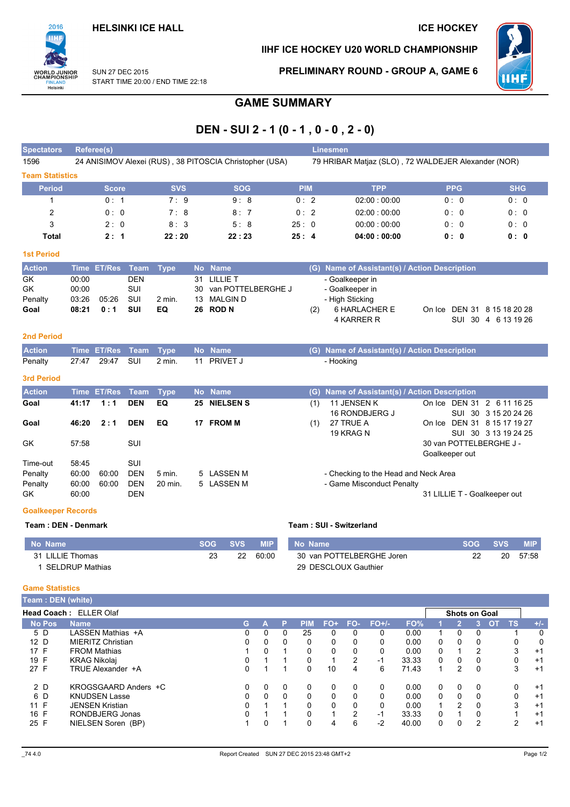

## IIHF ICE HOCKEY U20 WORLD CHAMPIONSHIP



SUN 27 DEC 2015 START TIME 20:00 / END TIME 22:18 PRELIMINARY ROUND - GROUP A, GAME 6

# **GAME SUMMARY**

## DEN - SUI 2 - 1 (0 - 1, 0 - 0, 2 - 0)

| <b>Spectators</b>                    |                                  | Referee(s)     |                                                      |                   |                      |                                                                          |            |     | <b>Linesmen</b>                                                                      |                                           |                                             |
|--------------------------------------|----------------------------------|----------------|------------------------------------------------------|-------------------|----------------------|--------------------------------------------------------------------------|------------|-----|--------------------------------------------------------------------------------------|-------------------------------------------|---------------------------------------------|
| 1596                                 |                                  |                |                                                      |                   |                      | 24 ANISIMOV Alexei (RUS), 38 PITOSCIA Christopher (USA)                  |            |     | 79 HRIBAR Matjaz (SLO), 72 WALDEJER Alexander (NOR)                                  |                                           |                                             |
| <b>Team Statistics</b>               |                                  |                |                                                      |                   |                      |                                                                          |            |     |                                                                                      |                                           |                                             |
| <b>Period</b>                        |                                  | <b>Score</b>   |                                                      | <b>SVS</b>        |                      | <b>SOG</b>                                                               | <b>PIM</b> |     | <b>TPP</b>                                                                           | <b>PPG</b>                                | <b>SHG</b>                                  |
| 1                                    |                                  | 0:1            |                                                      | 7:9               |                      | 9:8                                                                      | 0:2        |     | 02:00:00:00                                                                          | 0:0                                       | 0:0                                         |
| 2                                    |                                  | 0:0            |                                                      | 7:8               |                      | 8:7                                                                      | 0:2        |     | 02:00:00:00                                                                          | 0:0                                       | 0:0                                         |
| 3                                    |                                  | 2:0            |                                                      | 8:3               |                      | 5:8                                                                      | 25:0       |     | 00:00:00:00                                                                          | 0:0                                       | 0:0                                         |
| <b>Total</b>                         |                                  | 2:1            |                                                      | 22:20             |                      | 22:23                                                                    | 25:4       |     | 04:00:00:00                                                                          | 0: 0                                      | 0: 0                                        |
| <b>1st Period</b>                    |                                  |                |                                                      |                   |                      |                                                                          |            |     |                                                                                      |                                           |                                             |
| <b>Action</b>                        | <b>Time</b>                      | <b>ET/Res</b>  | <b>Team</b>                                          | <b>Type</b>       |                      | No Name                                                                  |            |     | (G) Name of Assistant(s) / Action Description                                        |                                           |                                             |
| GK<br><b>GK</b><br>Penalty<br>Goal   | 00:00<br>00:00<br>03:26<br>08:21 | 05:26<br>0:1   | <b>DEN</b><br>SUI<br>SUI<br>SUI                      | $2$ min.<br>EQ    | 31<br>30<br>13<br>26 | <b>LILLIE T</b><br>van POTTELBERGHE J<br><b>MALGIN D</b><br><b>ROD N</b> |            | (2) | - Goalkeeper in<br>- Goalkeeper in<br>- High Sticking<br>6 HARLACHER E<br>4 KARRER R | On Ice                                    | DEN 31 8 15 18 20 28<br>SUI 30 4 6 13 19 26 |
| <b>2nd Period</b>                    |                                  |                |                                                      |                   |                      |                                                                          |            |     |                                                                                      |                                           |                                             |
| <b>Action</b>                        | <b>Time</b>                      | <b>ET/Res</b>  | <b>Team</b>                                          | <b>Type</b>       | <b>No</b>            | <b>Name</b>                                                              |            | (G) | Name of Assistant(s) / Action Description                                            |                                           |                                             |
| Penalty                              | 27:47                            | 29:47          | SUI                                                  | 2 min.            | 11                   | PRIVET J                                                                 |            |     | - Hooking                                                                            |                                           |                                             |
| <b>3rd Period</b>                    |                                  |                |                                                      |                   |                      |                                                                          |            |     |                                                                                      |                                           |                                             |
| <b>Action</b>                        |                                  | Time ET/Res    | <b>Team</b>                                          | <b>Type</b>       |                      | No Name                                                                  |            | (G) | <b>Name of Assistant(s) / Action Description</b>                                     |                                           |                                             |
| Goal                                 | 41:17                            | 1:1            | <b>DEN</b>                                           | EQ                | 25                   | <b>NIELSENS</b>                                                          |            | (1) | 11 JENSEN K<br>16 RONDBJERG J                                                        | On Ice DEN 31 2 6 11 16 25                | SUI 30 3 15 20 24 26                        |
| Goal                                 | 46:20                            | 2:1            | <b>DEN</b>                                           | EQ                |                      | 17 FROM M                                                                |            | (1) | 27 TRUE A<br>19 KRAG N                                                               | On Ice DEN 31 8 15 17 19 27               | SUI 30 3 13 19 24 25                        |
| GK                                   | 57:58                            |                | SUI                                                  |                   |                      |                                                                          |            |     |                                                                                      | 30 van POTTELBERGHE J -<br>Goalkeeper out |                                             |
| Time-out<br>Penalty<br>Penalty<br>GK | 58:45<br>60:00<br>60:00<br>60:00 | 60:00<br>60:00 | <b>SUI</b><br><b>DEN</b><br><b>DEN</b><br><b>DEN</b> | 5 min.<br>20 min. | 5                    | <b>LASSEN M</b><br>5 LASSEN M                                            |            |     | - Checking to the Head and Neck Area<br>- Game Misconduct Penalty                    | 31 LILLIE T - Goalkeeper out              |                                             |

### **Goalkeeper Records**

#### **Team: DEN - Denmark** Team: SUI - Switzerland No Name **SOG SVS MIP** No Name **SOG SVS MIP**  $60.00$ 30 van POTTELBERGHE Joren  $57.58$ 31 LILLIE Thomas  $\overline{23}$  $\overline{22}$  $\overline{22}$  $\overline{20}$ 1 SELDRUP Mathias 29 DESCLOUX Gauthier

### **Game Statistics**

| Team: DEN (white) |                               |    |          |              |          |          |          |         |       |          |              |                      |           |          |
|-------------------|-------------------------------|----|----------|--------------|----------|----------|----------|---------|-------|----------|--------------|----------------------|-----------|----------|
|                   | <b>Head Coach: ELLER Olaf</b> |    |          |              |          |          |          |         |       |          |              | <b>Shots on Goal</b> |           |          |
| <b>No Pos</b>     | Name                          | G. | А        | P            | PIM      | $FO+$    | FO-      | $FO+/-$ | FO%   |          | 21           | OT.                  | <b>TS</b> | $+/-$    |
| 5 D               | LASSEN Mathias +A             | 0  | 0        | $\mathbf{0}$ | 25       | 0        | $\Omega$ | 0       | 0.00  | 1        | $\mathbf{0}$ |                      |           | $\Omega$ |
| 12 D              | <b>MIERITZ Christian</b>      | 0  | 0        | 0            | $\Omega$ | 0        |          | 0       | 0.00  | 0        | $\mathbf{0}$ |                      | 0         | 0        |
| 17 F              | <b>FROM Mathias</b>           |    | $\Omega$ |              | 0        | $\Omega$ |          | 0       | 0.00  | 0        |              | 2                    | 3         | $+1$     |
| 19 F              | <b>KRAG Nikolai</b>           | 0  |          |              | 0        | 4        | 2        | -1      | 33.33 | $\Omega$ | $\mathbf{0}$ | $\Omega$             | $\Omega$  | $+1$     |
| 27 F              | TRUE Alexander +A             | 0  |          |              | 0        | 10       | 4        | 6       | 71.43 | 4        | 2            | 0                    | 3         | $+1$     |
| 2 D               | KROGSGAARD Anders +C          |    | 0        | 0            | $\Omega$ | 0        | 0        | 0       | 0.00  | $\Omega$ | $\mathbf{0}$ |                      | 0         | $+1$     |
| 6 D               | <b>KNUDSEN Lasse</b>          | 0  | $\Omega$ | $\Omega$     | 0        | $\Omega$ |          | 0       | 0.00  | 0        | $\mathbf{0}$ |                      | 0         | $+1$     |
| 11 F              | <b>JENSEN Kristian</b>        | 0  |          |              | $\Omega$ | $\Omega$ | 0        | 0       | 0.00  | 1        | っ            | $\Omega$             | 3         | $+1$     |
| 16 F              | RONDBJERG Jonas               | 0  |          |              | 0        | ٠        | 2        | -1      | 33.33 | 0        |              |                      |           | $+1$     |
| 25 F              | NIELSEN Soren (BP)            |    | 0        |              | 0        | 4        | 6        | -2      | 40.00 | 0        | 0            | 2                    | 2         | $+1$     |